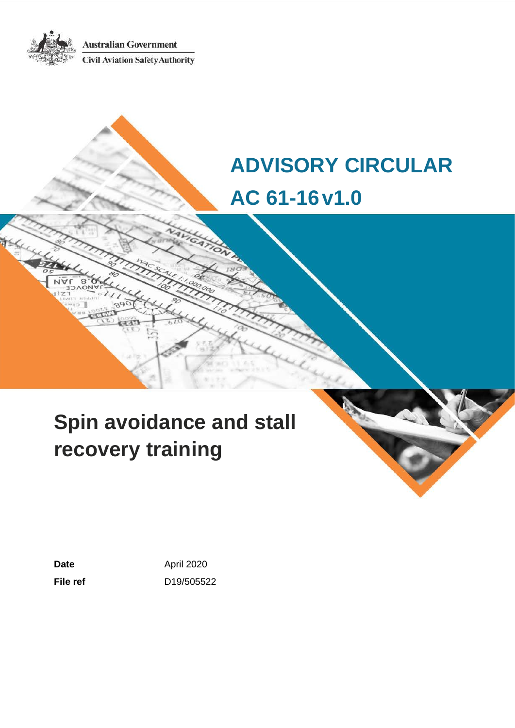**Australian Government Civil Aviation Safety Authority** 

# **ADVISORY CIRCULAR AC 61-16v1.0**

# **Spin avoidance and stall recovery training**

Date **Date April 2020 File ref** D19/505522

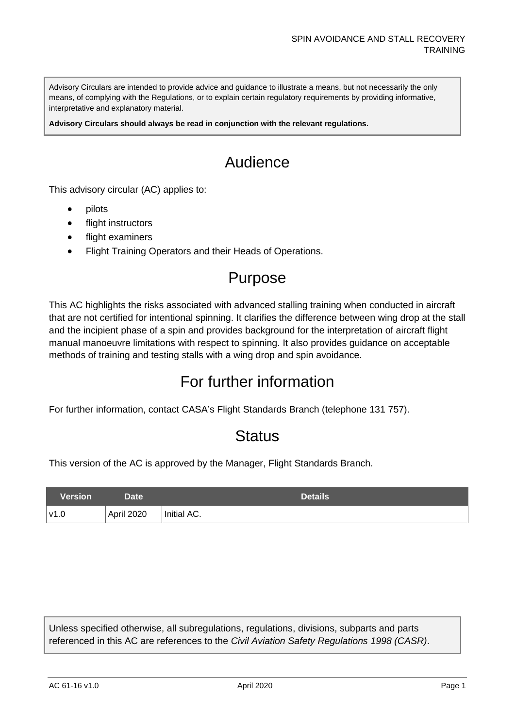Advisory Circulars are intended to provide advice and guidance to illustrate a means, but not necessarily the only means, of complying with the Regulations, or to explain certain regulatory requirements by providing informative, interpretative and explanatory material.

**Advisory Circulars should always be read in conjunction with the relevant regulations.**

# Audience

This advisory circular (AC) applies to:

- pilots
- flight instructors
- flight examiners
- Flight Training Operators and their Heads of Operations.

# Purpose

This AC highlights the risks associated with advanced stalling training when conducted in aircraft that are not certified for intentional spinning. It clarifies the difference between wing drop at the stall and the incipient phase of a spin and provides background for the interpretation of aircraft flight manual manoeuvre limitations with respect to spinning. It also provides guidance on acceptable methods of training and testing stalls with a wing drop and spin avoidance.

## For further information

For further information, contact CASA's Flight Standards Branch (telephone 131 757).

## **Status**

This version of the AC is approved by the Manager, Flight Standards Branch.

| Version | Date <sup>1</sup> | Details     |
|---------|-------------------|-------------|
| ∣v1.0   | April 2020        | Initial AC. |

Unless specified otherwise, all subregulations, regulations, divisions, subparts and parts referenced in this AC are references to the *Civil Aviation Safety Regulations 1998 (CASR)*.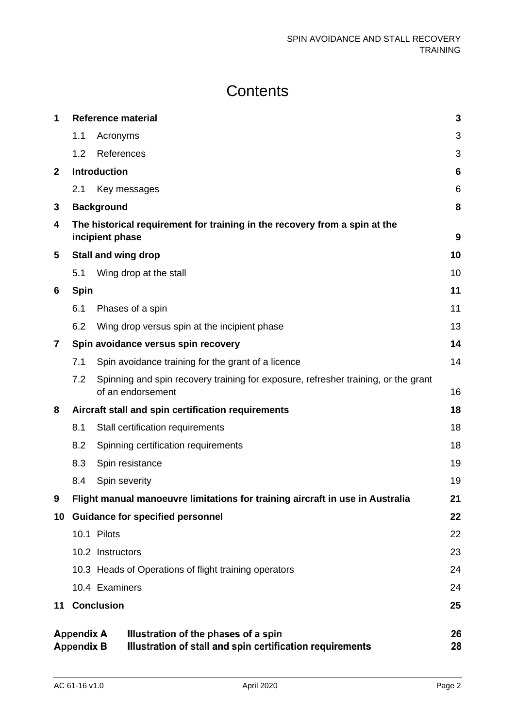# **Contents**

| 1            | <b>Reference material</b>                                                                                                                               |                   |                                                                                                         | $\mathbf{3}$ |  |
|--------------|---------------------------------------------------------------------------------------------------------------------------------------------------------|-------------------|---------------------------------------------------------------------------------------------------------|--------------|--|
|              | 1.1                                                                                                                                                     | Acronyms          |                                                                                                         | 3            |  |
|              | 1.2                                                                                                                                                     | References        |                                                                                                         | 3            |  |
| $\mathbf{2}$ | <b>Introduction</b>                                                                                                                                     |                   |                                                                                                         |              |  |
|              | 2.1                                                                                                                                                     |                   | Key messages                                                                                            | 6            |  |
| 3            |                                                                                                                                                         | <b>Background</b> |                                                                                                         | 8            |  |
| 4            | The historical requirement for training in the recovery from a spin at the<br>incipient phase<br>9                                                      |                   |                                                                                                         |              |  |
| 5            | <b>Stall and wing drop</b>                                                                                                                              |                   |                                                                                                         | 10           |  |
|              | 5.1                                                                                                                                                     |                   | Wing drop at the stall                                                                                  | 10           |  |
| 6            | <b>Spin</b>                                                                                                                                             |                   |                                                                                                         | 11           |  |
|              | 6.1                                                                                                                                                     |                   | Phases of a spin                                                                                        | 11           |  |
|              | 6.2                                                                                                                                                     |                   | Wing drop versus spin at the incipient phase                                                            | 13           |  |
| 7            |                                                                                                                                                         |                   | Spin avoidance versus spin recovery                                                                     | 14           |  |
|              | 7.1                                                                                                                                                     |                   | Spin avoidance training for the grant of a licence                                                      | 14           |  |
|              | 7.2                                                                                                                                                     |                   | Spinning and spin recovery training for exposure, refresher training, or the grant<br>of an endorsement | 16           |  |
| 8            |                                                                                                                                                         |                   | Aircraft stall and spin certification requirements                                                      | 18           |  |
|              | 8.1                                                                                                                                                     |                   | Stall certification requirements                                                                        | 18           |  |
|              | 8.2                                                                                                                                                     |                   | Spinning certification requirements                                                                     | 18           |  |
|              | 8.3                                                                                                                                                     |                   | Spin resistance                                                                                         | 19           |  |
|              | 8.4                                                                                                                                                     | Spin severity     |                                                                                                         | 19           |  |
| 9            |                                                                                                                                                         |                   | Flight manual manoeuvre limitations for training aircraft in use in Australia                           | 21           |  |
| 10           |                                                                                                                                                         |                   | <b>Guidance for specified personnel</b>                                                                 | 22           |  |
|              |                                                                                                                                                         | 10.1 Pilots       |                                                                                                         | 22           |  |
|              |                                                                                                                                                         | 10.2 Instructors  |                                                                                                         | 23           |  |
|              |                                                                                                                                                         |                   | 10.3 Heads of Operations of flight training operators                                                   | 24           |  |
|              |                                                                                                                                                         | 10.4 Examiners    |                                                                                                         | 24           |  |
| 11           |                                                                                                                                                         | <b>Conclusion</b> |                                                                                                         | 25           |  |
|              | <b>Appendix A</b><br>Illustration of the phases of a spin<br>26<br>Illustration of stall and spin certification requirements<br><b>Appendix B</b><br>28 |                   |                                                                                                         |              |  |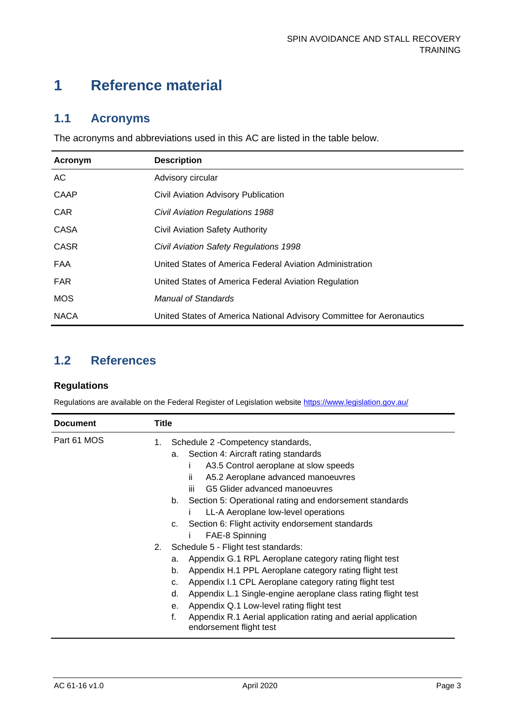## <span id="page-3-0"></span>**1 Reference material**

#### <span id="page-3-1"></span>**1.1 Acronyms**

The acronyms and abbreviations used in this AC are listed in the table below.

| Acronym     | <b>Description</b>                                                   |
|-------------|----------------------------------------------------------------------|
| AC          | Advisory circular                                                    |
| CAAP        | Civil Aviation Advisory Publication                                  |
| <b>CAR</b>  | <b>Civil Aviation Regulations 1988</b>                               |
| CASA        | Civil Aviation Safety Authority                                      |
| <b>CASR</b> | Civil Aviation Safety Regulations 1998                               |
| FAA         | United States of America Federal Aviation Administration             |
| <b>FAR</b>  | United States of America Federal Aviation Regulation                 |
| <b>MOS</b>  | Manual of Standards                                                  |
| <b>NACA</b> | United States of America National Advisory Committee for Aeronautics |

## <span id="page-3-2"></span>**1.2 References**

#### **Regulations**

Regulations are available on the Federal Register of Legislation website<https://www.legislation.gov.au/>

| <b>Document</b> | <b>Title</b> |                                                                                                |
|-----------------|--------------|------------------------------------------------------------------------------------------------|
| Part 61 MOS     | 1.           | Schedule 2 - Competency standards,                                                             |
|                 |              | Section 4: Aircraft rating standards<br>a.                                                     |
|                 |              | A3.5 Control aeroplane at slow speeds<br>L                                                     |
|                 |              | ii.<br>A5.2 Aeroplane advanced manoeuvres                                                      |
|                 |              | G5 Glider advanced manoeuvres<br>iii.                                                          |
|                 |              | Section 5: Operational rating and endorsement standards<br>b.                                  |
|                 |              | LL-A Aeroplane low-level operations                                                            |
|                 |              | Section 6: Flight activity endorsement standards<br>c.                                         |
|                 |              | FAE-8 Spinning                                                                                 |
|                 | 2.           | Schedule 5 - Flight test standards:                                                            |
|                 |              | Appendix G.1 RPL Aeroplane category rating flight test<br>a.                                   |
|                 |              | Appendix H.1 PPL Aeroplane category rating flight test<br>b.                                   |
|                 |              | Appendix I.1 CPL Aeroplane category rating flight test<br>c.                                   |
|                 |              | Appendix L.1 Single-engine aeroplane class rating flight test<br>d.                            |
|                 |              | Appendix Q.1 Low-level rating flight test<br>е.                                                |
|                 |              | f.<br>Appendix R.1 Aerial application rating and aerial application<br>endorsement flight test |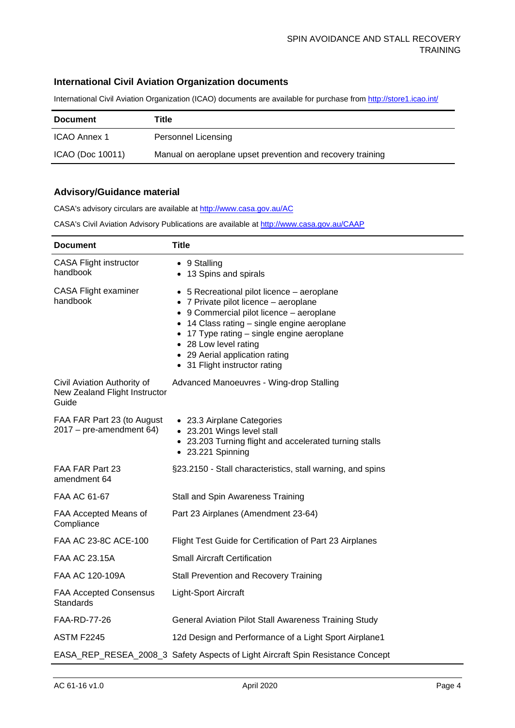#### **International Civil Aviation Organization documents**

International Civil Aviation Organization (ICAO) documents are available for purchase fro[m http://store1.icao.int/](http://store1.icao.int/)

| <b>Document</b>  | Title                                                      |
|------------------|------------------------------------------------------------|
| ICAO Annex 1     | Personnel Licensing                                        |
| ICAO (Doc 10011) | Manual on aeroplane upset prevention and recovery training |

#### **Advisory/Guidance material**

CASA's advisory circulars are available at [http://www.casa.gov.au/AC](http://www.casa.gov.au/ACs)

CASA's Civil Aviation Advisory Publications are available at [http://www.casa.gov.au/CAAP](http://www.casa.gov.au/CAAPs)

| <b>Document</b>                                                       | <b>Title</b>                                                                                                                                                                                                                                                                                                         |
|-----------------------------------------------------------------------|----------------------------------------------------------------------------------------------------------------------------------------------------------------------------------------------------------------------------------------------------------------------------------------------------------------------|
| <b>CASA Flight instructor</b><br>handbook                             | • 9 Stalling<br>• 13 Spins and spirals                                                                                                                                                                                                                                                                               |
| <b>CASA Flight examiner</b><br>handbook                               | • 5 Recreational pilot licence – aeroplane<br>• 7 Private pilot licence - aeroplane<br>• 9 Commercial pilot licence - aeroplane<br>14 Class rating - single engine aeroplane<br>17 Type rating – single engine aeroplane<br>• 28 Low level rating<br>• 29 Aerial application rating<br>• 31 Flight instructor rating |
| Civil Aviation Authority of<br>New Zealand Flight Instructor<br>Guide | Advanced Manoeuvres - Wing-drop Stalling                                                                                                                                                                                                                                                                             |
| FAA FAR Part 23 (to August<br>$2017$ – pre-amendment 64)              | • 23.3 Airplane Categories<br>• 23.201 Wings level stall<br>• 23.203 Turning flight and accelerated turning stalls<br>• 23.221 Spinning                                                                                                                                                                              |
| FAA FAR Part 23<br>amendment 64                                       | §23.2150 - Stall characteristics, stall warning, and spins                                                                                                                                                                                                                                                           |
| FAA AC 61-67                                                          | Stall and Spin Awareness Training                                                                                                                                                                                                                                                                                    |
| FAA Accepted Means of<br>Compliance                                   | Part 23 Airplanes (Amendment 23-64)                                                                                                                                                                                                                                                                                  |
| FAA AC 23-8C ACE-100                                                  | Flight Test Guide for Certification of Part 23 Airplanes                                                                                                                                                                                                                                                             |
| FAA AC 23.15A                                                         | <b>Small Aircraft Certification</b>                                                                                                                                                                                                                                                                                  |
| FAA AC 120-109A                                                       | <b>Stall Prevention and Recovery Training</b>                                                                                                                                                                                                                                                                        |
| <b>FAA Accepted Consensus</b><br>Standards                            | Light-Sport Aircraft                                                                                                                                                                                                                                                                                                 |
| FAA-RD-77-26                                                          | <b>General Aviation Pilot Stall Awareness Training Study</b>                                                                                                                                                                                                                                                         |
| <b>ASTM F2245</b>                                                     | 12d Design and Performance of a Light Sport Airplane1                                                                                                                                                                                                                                                                |
|                                                                       | EASA_REP_RESEA_2008_3 Safety Aspects of Light Aircraft Spin Resistance Concept                                                                                                                                                                                                                                       |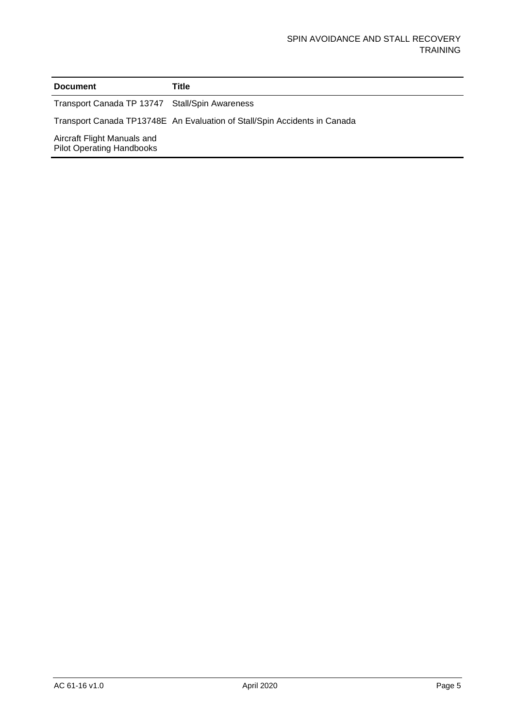#### **Document Title**

Transport Canada TP 13747 Stall/Spin Awareness

Transport Canada TP13748E An Evaluation of Stall/Spin Accidents in Canada

Aircraft Flight Manuals and Pilot Operating Handbooks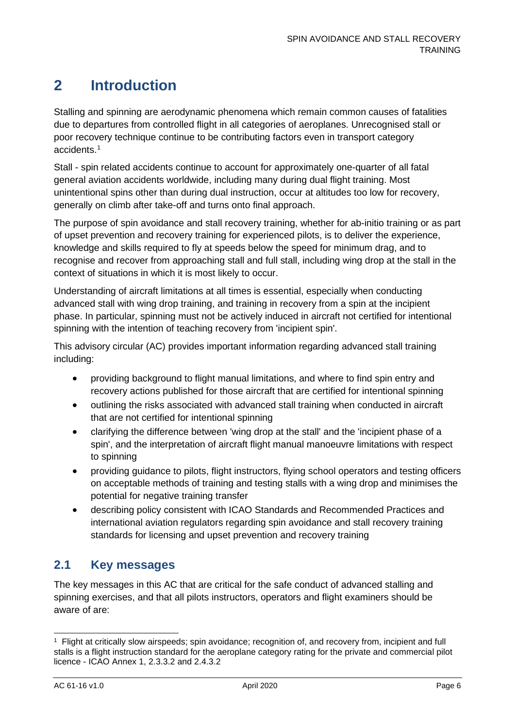## <span id="page-6-0"></span>**2 Introduction**

Stalling and spinning are aerodynamic phenomena which remain common causes of fatalities due to departures from controlled flight in all categories of aeroplanes. Unrecognised stall or poor recovery technique continue to be contributing factors even in transport category accidents[.1](#page-6-2)

Stall - spin related accidents continue to account for approximately one-quarter of all fatal general aviation accidents worldwide, including many during dual flight training. Most unintentional spins other than during dual instruction, occur at altitudes too low for recovery, generally on climb after take-off and turns onto final approach.

The purpose of spin avoidance and stall recovery training, whether for ab-initio training or as part of upset prevention and recovery training for experienced pilots, is to deliver the experience, knowledge and skills required to fly at speeds below the speed for minimum drag, and to recognise and recover from approaching stall and full stall, including wing drop at the stall in the context of situations in which it is most likely to occur.

Understanding of aircraft limitations at all times is essential, especially when conducting advanced stall with wing drop training, and training in recovery from a spin at the incipient phase. In particular, spinning must not be actively induced in aircraft not certified for intentional spinning with the intention of teaching recovery from 'incipient spin'.

This advisory circular (AC) provides important information regarding advanced stall training including:

- providing background to flight manual limitations, and where to find spin entry and recovery actions published for those aircraft that are certified for intentional spinning
- outlining the risks associated with advanced stall training when conducted in aircraft that are not certified for intentional spinning
- clarifying the difference between 'wing drop at the stall' and the 'incipient phase of a spin', and the interpretation of aircraft flight manual manoeuvre limitations with respect to spinning
- providing guidance to pilots, flight instructors, flying school operators and testing officers on acceptable methods of training and testing stalls with a wing drop and minimises the potential for negative training transfer
- describing policy consistent with ICAO Standards and Recommended Practices and international aviation regulators regarding spin avoidance and stall recovery training standards for licensing and upset prevention and recovery training

### <span id="page-6-1"></span>**2.1 Key messages**

The key messages in this AC that are critical for the safe conduct of advanced stalling and spinning exercises, and that all pilots instructors, operators and flight examiners should be aware of are:

<span id="page-6-2"></span><sup>1</sup> Flight at critically slow airspeeds; spin avoidance; recognition of, and recovery from, incipient and full stalls is a flight instruction standard for the aeroplane category rating for the private and commercial pilot licence - ICAO Annex 1, 2.3.3.2 and 2.4.3.2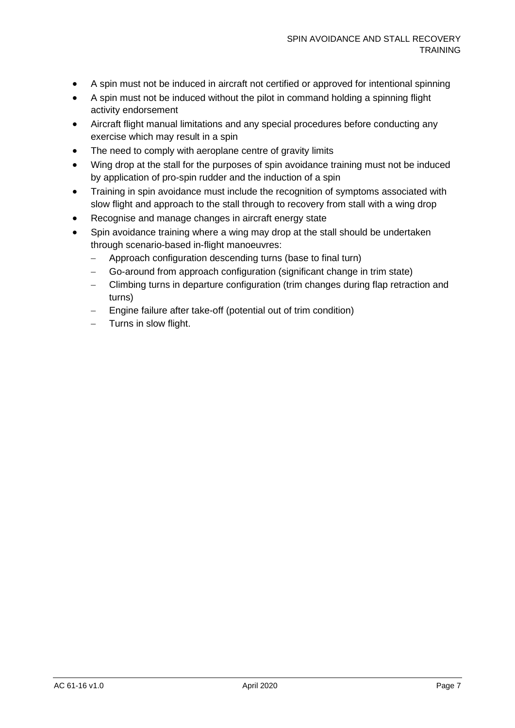- A spin must not be induced in aircraft not certified or approved for intentional spinning
- A spin must not be induced without the pilot in command holding a spinning flight activity endorsement
- Aircraft flight manual limitations and any special procedures before conducting any exercise which may result in a spin
- The need to comply with aeroplane centre of gravity limits
- Wing drop at the stall for the purposes of spin avoidance training must not be induced by application of pro-spin rudder and the induction of a spin
- Training in spin avoidance must include the recognition of symptoms associated with slow flight and approach to the stall through to recovery from stall with a wing drop
- Recognise and manage changes in aircraft energy state
- Spin avoidance training where a wing may drop at the stall should be undertaken through scenario-based in-flight manoeuvres:
	- − Approach configuration descending turns (base to final turn)
	- − Go-around from approach configuration (significant change in trim state)
	- − Climbing turns in departure configuration (trim changes during flap retraction and turns)
	- Engine failure after take-off (potential out of trim condition)
	- − Turns in slow flight.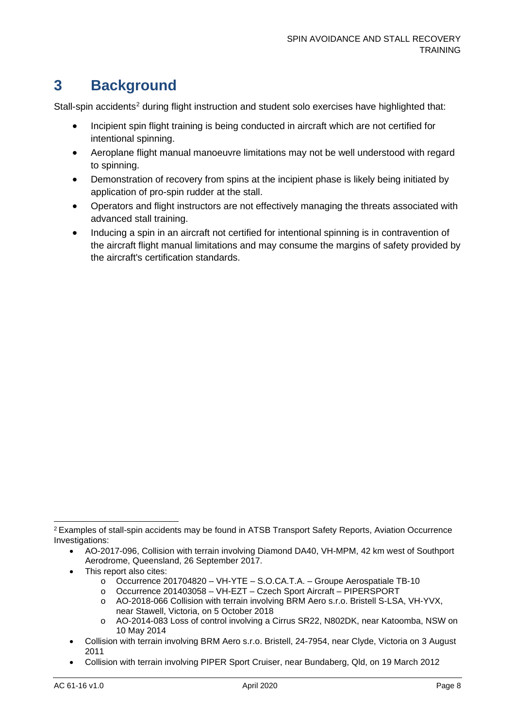# <span id="page-8-0"></span>**3 Background**

Stall-spin accidents<sup>[2](#page-8-1)</sup> during flight instruction and student solo exercises have highlighted that:

- Incipient spin flight training is being conducted in aircraft which are not certified for intentional spinning.
- Aeroplane flight manual manoeuvre limitations may not be well understood with regard to spinning.
- Demonstration of recovery from spins at the incipient phase is likely being initiated by application of pro-spin rudder at the stall.
- Operators and flight instructors are not effectively managing the threats associated with advanced stall training.
- Inducing a spin in an aircraft not certified for intentional spinning is in contravention of the aircraft flight manual limitations and may consume the margins of safety provided by the aircraft's certification standards.

- This report also cites:
	- o Occurrence 201704820 VH-YTE S.O.CA.T.A. Groupe Aerospatiale TB-10
	- o Occurrence 201403058 VH-EZT Czech Sport Aircraft PIPERSPORT
	- o AO-2018-066 Collision with terrain involving BRM Aero s.r.o. Bristell S-LSA, VH-YVX, near Stawell, Victoria, on 5 October 2018
	- o AO-2014-083 Loss of control involving a Cirrus SR22, N802DK, near Katoomba, NSW on 10 May 2014
- Collision with terrain involving BRM Aero s.r.o. Bristell, 24-7954, near Clyde, Victoria on 3 August 2011
- Collision with terrain involving PIPER Sport Cruiser, near Bundaberg, Qld, on 19 March 2012

<span id="page-8-1"></span><sup>2</sup> Examples of stall-spin accidents may be found in ATSB Transport Safety Reports, Aviation Occurrence Investigations:

<sup>•</sup> AO-2017-096, Collision with terrain involving Diamond DA40, VH-MPM, 42 km west of Southport Aerodrome, Queensland, 26 September 2017.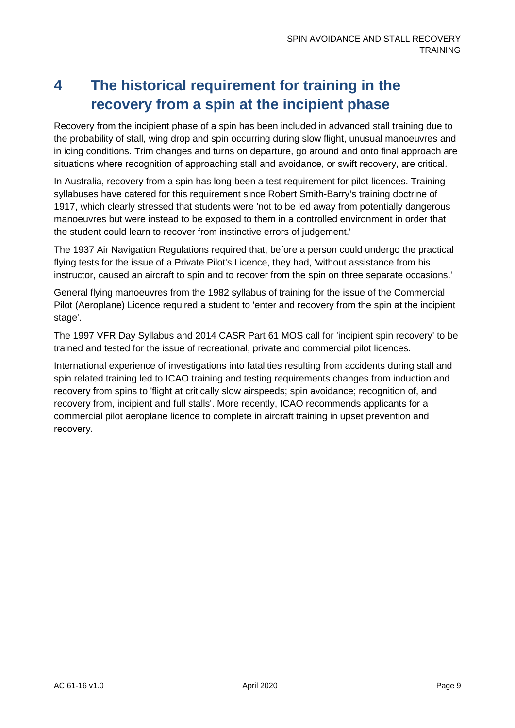# <span id="page-9-0"></span>**4 The historical requirement for training in the recovery from a spin at the incipient phase**

Recovery from the incipient phase of a spin has been included in advanced stall training due to the probability of stall, wing drop and spin occurring during slow flight, unusual manoeuvres and in icing conditions. Trim changes and turns on departure, go around and onto final approach are situations where recognition of approaching stall and avoidance, or swift recovery, are critical.

In Australia, recovery from a spin has long been a test requirement for pilot licences. Training syllabuses have catered for this requirement since Robert Smith-Barry's training doctrine of 1917, which clearly stressed that students were 'not to be led away from potentially dangerous manoeuvres but were instead to be exposed to them in a controlled environment in order that the student could learn to recover from instinctive errors of judgement.'

The 1937 Air Navigation Regulations required that, before a person could undergo the practical flying tests for the issue of a Private Pilot's Licence, they had, 'without assistance from his instructor, caused an aircraft to spin and to recover from the spin on three separate occasions.'

General flying manoeuvres from the 1982 syllabus of training for the issue of the Commercial Pilot (Aeroplane) Licence required a student to 'enter and recovery from the spin at the incipient stage'.

The 1997 VFR Day Syllabus and 2014 CASR Part 61 MOS call for 'incipient spin recovery' to be trained and tested for the issue of recreational, private and commercial pilot licences.

International experience of investigations into fatalities resulting from accidents during stall and spin related training led to ICAO training and testing requirements changes from induction and recovery from spins to 'flight at critically slow airspeeds; spin avoidance; recognition of, and recovery from, incipient and full stalls'. More recently, ICAO recommends applicants for a commercial pilot aeroplane licence to complete in aircraft training in upset prevention and recovery.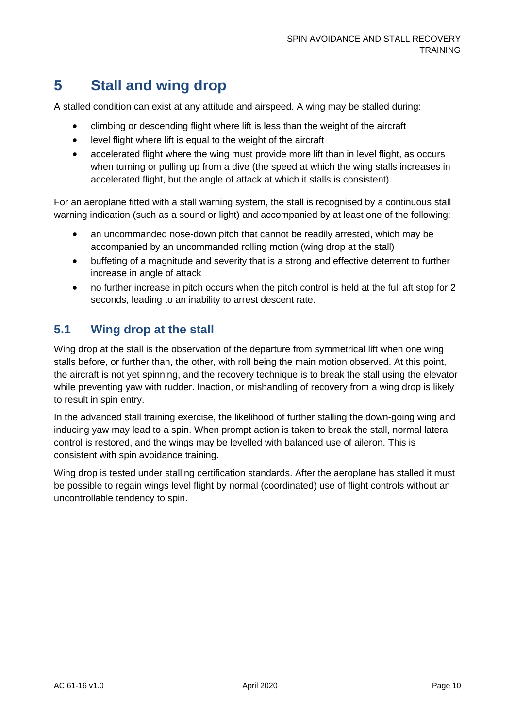# <span id="page-10-0"></span>**5 Stall and wing drop**

A stalled condition can exist at any attitude and airspeed. A wing may be stalled during:

- climbing or descending flight where lift is less than the weight of the aircraft
- level flight where lift is equal to the weight of the aircraft
- accelerated flight where the wing must provide more lift than in level flight, as occurs when turning or pulling up from a dive (the speed at which the wing stalls increases in accelerated flight, but the angle of attack at which it stalls is consistent).

For an aeroplane fitted with a stall warning system, the stall is recognised by a continuous stall warning indication (such as a sound or light) and accompanied by at least one of the following:

- an uncommanded nose-down pitch that cannot be readily arrested, which may be accompanied by an uncommanded rolling motion (wing drop at the stall)
- buffeting of a magnitude and severity that is a strong and effective deterrent to further increase in angle of attack
- no further increase in pitch occurs when the pitch control is held at the full aft stop for 2 seconds, leading to an inability to arrest descent rate.

### <span id="page-10-1"></span>**5.1 Wing drop at the stall**

Wing drop at the stall is the observation of the departure from symmetrical lift when one wing stalls before, or further than, the other, with roll being the main motion observed. At this point, the aircraft is not yet spinning, and the recovery technique is to break the stall using the elevator while preventing yaw with rudder. Inaction, or mishandling of recovery from a wing drop is likely to result in spin entry.

In the advanced stall training exercise, the likelihood of further stalling the down-going wing and inducing yaw may lead to a spin. When prompt action is taken to break the stall, normal lateral control is restored, and the wings may be levelled with balanced use of aileron. This is consistent with spin avoidance training.

Wing drop is tested under stalling certification standards. After the aeroplane has stalled it must be possible to regain wings level flight by normal (coordinated) use of flight controls without an uncontrollable tendency to spin.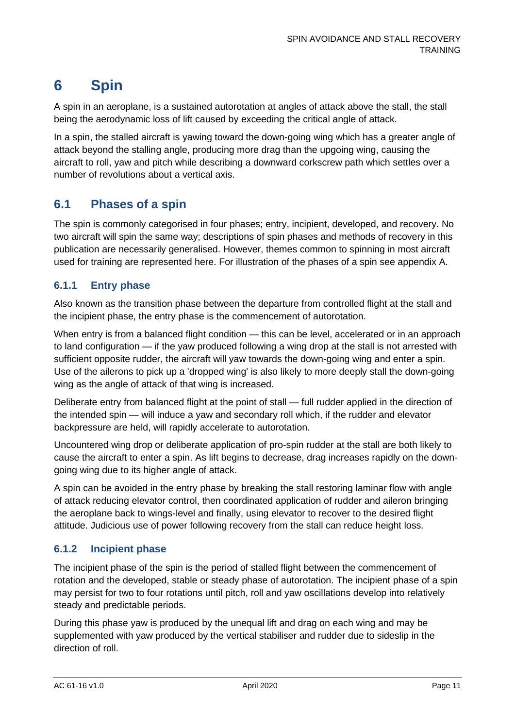# <span id="page-11-0"></span>**6 Spin**

A spin in an aeroplane, is a sustained autorotation at angles of attack above the stall, the stall being the aerodynamic loss of lift caused by exceeding the critical angle of attack.

In a spin, the stalled aircraft is yawing toward the down-going wing which has a greater angle of attack beyond the stalling angle, producing more drag than the upgoing wing, causing the aircraft to roll, yaw and pitch while describing a downward corkscrew path which settles over a number of revolutions about a vertical axis.

### <span id="page-11-1"></span>**6.1 Phases of a spin**

The spin is commonly categorised in four phases; entry, incipient, developed, and recovery. No two aircraft will spin the same way; descriptions of spin phases and methods of recovery in this publication are necessarily generalised. However, themes common to spinning in most aircraft used for training are represented here. For illustration of the phases of a spin see appendix A.

#### **6.1.1 Entry phase**

Also known as the transition phase between the departure from controlled flight at the stall and the incipient phase, the entry phase is the commencement of autorotation.

When entry is from a balanced flight condition — this can be level, accelerated or in an approach to land configuration — if the yaw produced following a wing drop at the stall is not arrested with sufficient opposite rudder, the aircraft will yaw towards the down-going wing and enter a spin. Use of the ailerons to pick up a 'dropped wing' is also likely to more deeply stall the down-going wing as the angle of attack of that wing is increased.

Deliberate entry from balanced flight at the point of stall — full rudder applied in the direction of the intended spin — will induce a yaw and secondary roll which, if the rudder and elevator backpressure are held, will rapidly accelerate to autorotation.

Uncountered wing drop or deliberate application of pro-spin rudder at the stall are both likely to cause the aircraft to enter a spin. As lift begins to decrease, drag increases rapidly on the downgoing wing due to its higher angle of attack.

A spin can be avoided in the entry phase by breaking the stall restoring laminar flow with angle of attack reducing elevator control, then coordinated application of rudder and aileron bringing the aeroplane back to wings-level and finally, using elevator to recover to the desired flight attitude. Judicious use of power following recovery from the stall can reduce height loss.

### **6.1.2 Incipient phase**

The incipient phase of the spin is the period of stalled flight between the commencement of rotation and the developed, stable or steady phase of autorotation. The incipient phase of a spin may persist for two to four rotations until pitch, roll and yaw oscillations develop into relatively steady and predictable periods.

During this phase yaw is produced by the unequal lift and drag on each wing and may be supplemented with yaw produced by the vertical stabiliser and rudder due to sideslip in the direction of roll.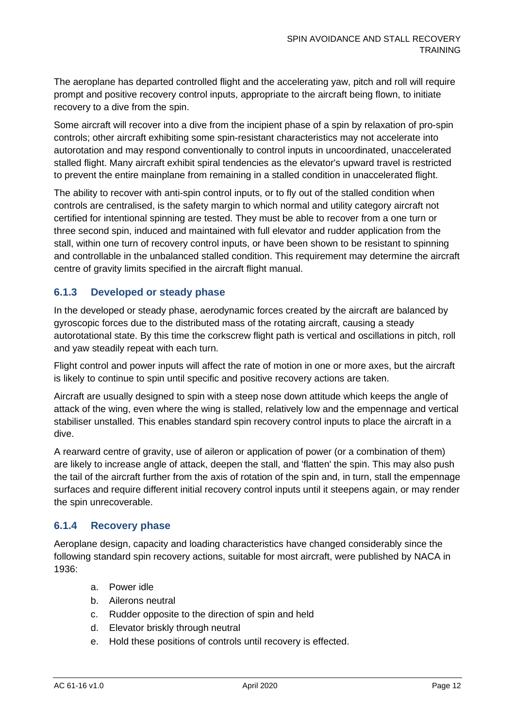The aeroplane has departed controlled flight and the accelerating yaw, pitch and roll will require prompt and positive recovery control inputs, appropriate to the aircraft being flown, to initiate recovery to a dive from the spin.

Some aircraft will recover into a dive from the incipient phase of a spin by relaxation of pro-spin controls; other aircraft exhibiting some spin-resistant characteristics may not accelerate into autorotation and may respond conventionally to control inputs in uncoordinated, unaccelerated stalled flight. Many aircraft exhibit spiral tendencies as the elevator's upward travel is restricted to prevent the entire mainplane from remaining in a stalled condition in unaccelerated flight.

The ability to recover with anti-spin control inputs, or to fly out of the stalled condition when controls are centralised, is the safety margin to which normal and utility category aircraft not certified for intentional spinning are tested. They must be able to recover from a one turn or three second spin, induced and maintained with full elevator and rudder application from the stall, within one turn of recovery control inputs, or have been shown to be resistant to spinning and controllable in the unbalanced stalled condition. This requirement may determine the aircraft centre of gravity limits specified in the aircraft flight manual.

#### **6.1.3 Developed or steady phase**

In the developed or steady phase, aerodynamic forces created by the aircraft are balanced by gyroscopic forces due to the distributed mass of the rotating aircraft, causing a steady autorotational state. By this time the corkscrew flight path is vertical and oscillations in pitch, roll and yaw steadily repeat with each turn.

Flight control and power inputs will affect the rate of motion in one or more axes, but the aircraft is likely to continue to spin until specific and positive recovery actions are taken.

Aircraft are usually designed to spin with a steep nose down attitude which keeps the angle of attack of the wing, even where the wing is stalled, relatively low and the empennage and vertical stabiliser unstalled. This enables standard spin recovery control inputs to place the aircraft in a dive.

A rearward centre of gravity, use of aileron or application of power (or a combination of them) are likely to increase angle of attack, deepen the stall, and 'flatten' the spin. This may also push the tail of the aircraft further from the axis of rotation of the spin and, in turn, stall the empennage surfaces and require different initial recovery control inputs until it steepens again, or may render the spin unrecoverable.

#### **6.1.4 Recovery phase**

Aeroplane design, capacity and loading characteristics have changed considerably since the following standard spin recovery actions, suitable for most aircraft, were published by NACA in 1936:

- a. Power idle
- b. Ailerons neutral
- c. Rudder opposite to the direction of spin and held
- d. Elevator briskly through neutral
- e. Hold these positions of controls until recovery is effected.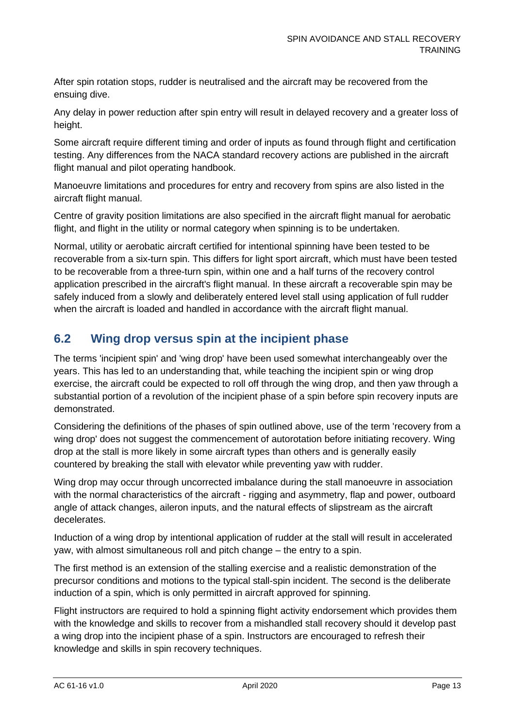After spin rotation stops, rudder is neutralised and the aircraft may be recovered from the ensuing dive.

Any delay in power reduction after spin entry will result in delayed recovery and a greater loss of height.

Some aircraft require different timing and order of inputs as found through flight and certification testing. Any differences from the NACA standard recovery actions are published in the aircraft flight manual and pilot operating handbook.

Manoeuvre limitations and procedures for entry and recovery from spins are also listed in the aircraft flight manual.

Centre of gravity position limitations are also specified in the aircraft flight manual for aerobatic flight, and flight in the utility or normal category when spinning is to be undertaken.

Normal, utility or aerobatic aircraft certified for intentional spinning have been tested to be recoverable from a six-turn spin. This differs for light sport aircraft, which must have been tested to be recoverable from a three-turn spin, within one and a half turns of the recovery control application prescribed in the aircraft's flight manual. In these aircraft a recoverable spin may be safely induced from a slowly and deliberately entered level stall using application of full rudder when the aircraft is loaded and handled in accordance with the aircraft flight manual.

### <span id="page-13-0"></span>**6.2 Wing drop versus spin at the incipient phase**

The terms 'incipient spin' and 'wing drop' have been used somewhat interchangeably over the years. This has led to an understanding that, while teaching the incipient spin or wing drop exercise, the aircraft could be expected to roll off through the wing drop, and then yaw through a substantial portion of a revolution of the incipient phase of a spin before spin recovery inputs are demonstrated.

Considering the definitions of the phases of spin outlined above, use of the term 'recovery from a wing drop' does not suggest the commencement of autorotation before initiating recovery. Wing drop at the stall is more likely in some aircraft types than others and is generally easily countered by breaking the stall with elevator while preventing yaw with rudder.

Wing drop may occur through uncorrected imbalance during the stall manoeuvre in association with the normal characteristics of the aircraft - rigging and asymmetry, flap and power, outboard angle of attack changes, aileron inputs, and the natural effects of slipstream as the aircraft decelerates.

Induction of a wing drop by intentional application of rudder at the stall will result in accelerated yaw, with almost simultaneous roll and pitch change – the entry to a spin.

The first method is an extension of the stalling exercise and a realistic demonstration of the precursor conditions and motions to the typical stall-spin incident. The second is the deliberate induction of a spin, which is only permitted in aircraft approved for spinning.

Flight instructors are required to hold a spinning flight activity endorsement which provides them with the knowledge and skills to recover from a mishandled stall recovery should it develop past a wing drop into the incipient phase of a spin. Instructors are encouraged to refresh their knowledge and skills in spin recovery techniques.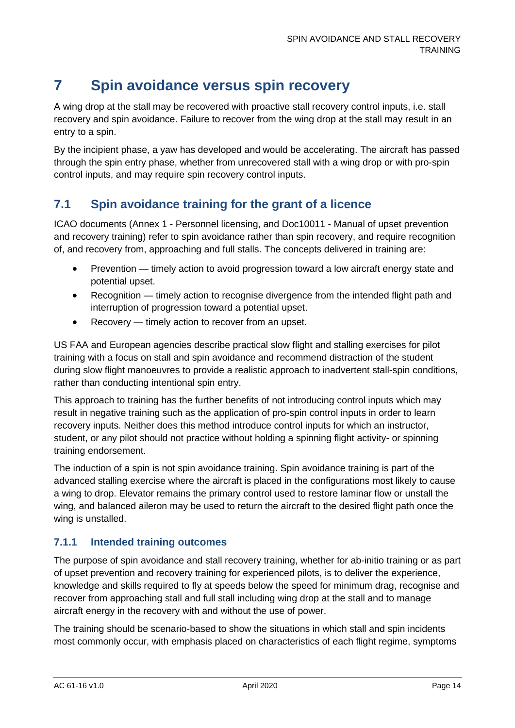# <span id="page-14-0"></span>**7 Spin avoidance versus spin recovery**

A wing drop at the stall may be recovered with proactive stall recovery control inputs, i.e. stall recovery and spin avoidance. Failure to recover from the wing drop at the stall may result in an entry to a spin.

By the incipient phase, a yaw has developed and would be accelerating. The aircraft has passed through the spin entry phase, whether from unrecovered stall with a wing drop or with pro-spin control inputs, and may require spin recovery control inputs.

### <span id="page-14-1"></span>**7.1 Spin avoidance training for the grant of a licence**

ICAO documents (Annex 1 - Personnel licensing, and Doc10011 - Manual of upset prevention and recovery training) refer to spin avoidance rather than spin recovery, and require recognition of, and recovery from, approaching and full stalls. The concepts delivered in training are:

- Prevention timely action to avoid progression toward a low aircraft energy state and potential upset.
- Recognition timely action to recognise divergence from the intended flight path and interruption of progression toward a potential upset.
- Recovery timely action to recover from an upset.

US FAA and European agencies describe practical slow flight and stalling exercises for pilot training with a focus on stall and spin avoidance and recommend distraction of the student during slow flight manoeuvres to provide a realistic approach to inadvertent stall-spin conditions, rather than conducting intentional spin entry.

This approach to training has the further benefits of not introducing control inputs which may result in negative training such as the application of pro-spin control inputs in order to learn recovery inputs. Neither does this method introduce control inputs for which an instructor, student, or any pilot should not practice without holding a spinning flight activity- or spinning training endorsement.

The induction of a spin is not spin avoidance training. Spin avoidance training is part of the advanced stalling exercise where the aircraft is placed in the configurations most likely to cause a wing to drop. Elevator remains the primary control used to restore laminar flow or unstall the wing, and balanced aileron may be used to return the aircraft to the desired flight path once the wing is unstalled.

#### **7.1.1 Intended training outcomes**

The purpose of spin avoidance and stall recovery training, whether for ab-initio training or as part of upset prevention and recovery training for experienced pilots, is to deliver the experience, knowledge and skills required to fly at speeds below the speed for minimum drag, recognise and recover from approaching stall and full stall including wing drop at the stall and to manage aircraft energy in the recovery with and without the use of power.

The training should be scenario-based to show the situations in which stall and spin incidents most commonly occur, with emphasis placed on characteristics of each flight regime, symptoms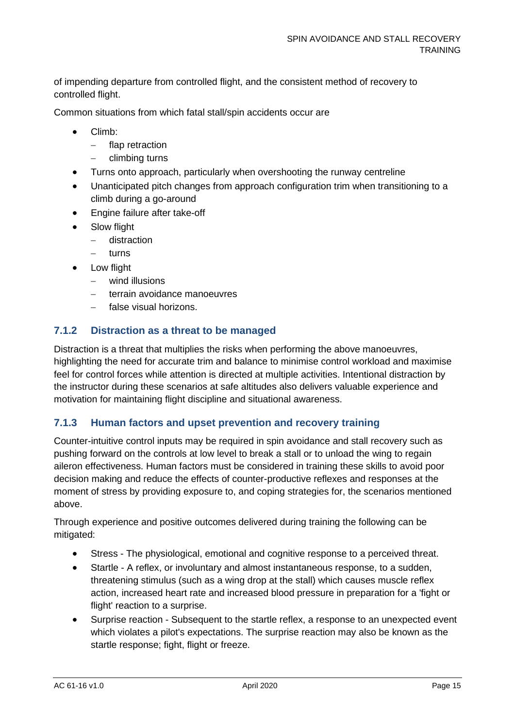of impending departure from controlled flight, and the consistent method of recovery to controlled flight.

Common situations from which fatal stall/spin accidents occur are

- Climb:
	- − flap retraction
	- − climbing turns
- Turns onto approach, particularly when overshooting the runway centreline
- Unanticipated pitch changes from approach configuration trim when transitioning to a climb during a go-around
- Engine failure after take-off
- Slow flight
	- − distraction
	- − turns
	- Low flight
		- − wind illusions
		- terrain avoidance manoeuvres
		- − false visual horizons.

#### **7.1.2 Distraction as a threat to be managed**

Distraction is a threat that multiplies the risks when performing the above manoeuvres, highlighting the need for accurate trim and balance to minimise control workload and maximise feel for control forces while attention is directed at multiple activities. Intentional distraction by the instructor during these scenarios at safe altitudes also delivers valuable experience and motivation for maintaining flight discipline and situational awareness.

#### **7.1.3 Human factors and upset prevention and recovery training**

Counter-intuitive control inputs may be required in spin avoidance and stall recovery such as pushing forward on the controls at low level to break a stall or to unload the wing to regain aileron effectiveness. Human factors must be considered in training these skills to avoid poor decision making and reduce the effects of counter-productive reflexes and responses at the moment of stress by providing exposure to, and coping strategies for, the scenarios mentioned above.

Through experience and positive outcomes delivered during training the following can be mitigated:

- Stress The physiological, emotional and cognitive response to a perceived threat.
- Startle A reflex, or involuntary and almost instantaneous response, to a sudden, threatening stimulus (such as a wing drop at the stall) which causes muscle reflex action, increased heart rate and increased blood pressure in preparation for a 'fight or flight' reaction to a surprise.
- Surprise reaction Subsequent to the startle reflex, a response to an unexpected event which violates a pilot's expectations. The surprise reaction may also be known as the startle response; fight, flight or freeze.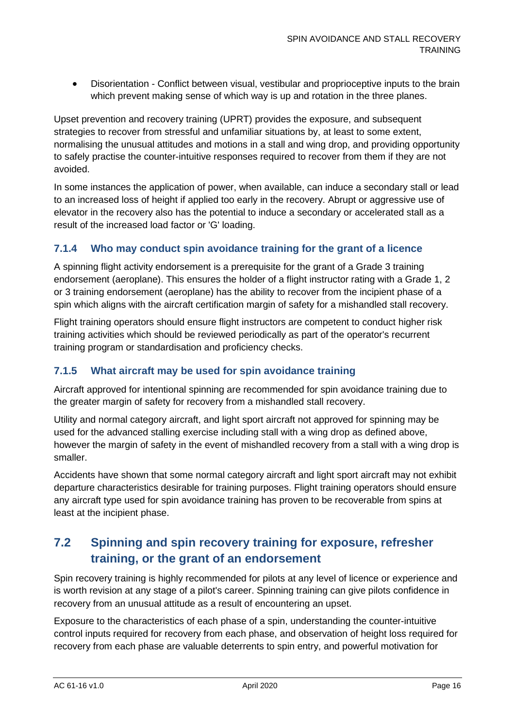• Disorientation - Conflict between visual, vestibular and proprioceptive inputs to the brain which prevent making sense of which way is up and rotation in the three planes.

Upset prevention and recovery training (UPRT) provides the exposure, and subsequent strategies to recover from stressful and unfamiliar situations by, at least to some extent, normalising the unusual attitudes and motions in a stall and wing drop, and providing opportunity to safely practise the counter-intuitive responses required to recover from them if they are not avoided.

In some instances the application of power, when available, can induce a secondary stall or lead to an increased loss of height if applied too early in the recovery. Abrupt or aggressive use of elevator in the recovery also has the potential to induce a secondary or accelerated stall as a result of the increased load factor or 'G' loading.

#### **7.1.4 Who may conduct spin avoidance training for the grant of a licence**

A spinning flight activity endorsement is a prerequisite for the grant of a Grade 3 training endorsement (aeroplane). This ensures the holder of a flight instructor rating with a Grade 1, 2 or 3 training endorsement (aeroplane) has the ability to recover from the incipient phase of a spin which aligns with the aircraft certification margin of safety for a mishandled stall recovery.

Flight training operators should ensure flight instructors are competent to conduct higher risk training activities which should be reviewed periodically as part of the operator's recurrent training program or standardisation and proficiency checks.

#### **7.1.5 What aircraft may be used for spin avoidance training**

Aircraft approved for intentional spinning are recommended for spin avoidance training due to the greater margin of safety for recovery from a mishandled stall recovery.

Utility and normal category aircraft, and light sport aircraft not approved for spinning may be used for the advanced stalling exercise including stall with a wing drop as defined above, however the margin of safety in the event of mishandled recovery from a stall with a wing drop is smaller.

Accidents have shown that some normal category aircraft and light sport aircraft may not exhibit departure characteristics desirable for training purposes. Flight training operators should ensure any aircraft type used for spin avoidance training has proven to be recoverable from spins at least at the incipient phase.

### <span id="page-16-0"></span>**7.2 Spinning and spin recovery training for exposure, refresher training, or the grant of an endorsement**

Spin recovery training is highly recommended for pilots at any level of licence or experience and is worth revision at any stage of a pilot's career. Spinning training can give pilots confidence in recovery from an unusual attitude as a result of encountering an upset.

Exposure to the characteristics of each phase of a spin, understanding the counter-intuitive control inputs required for recovery from each phase, and observation of height loss required for recovery from each phase are valuable deterrents to spin entry, and powerful motivation for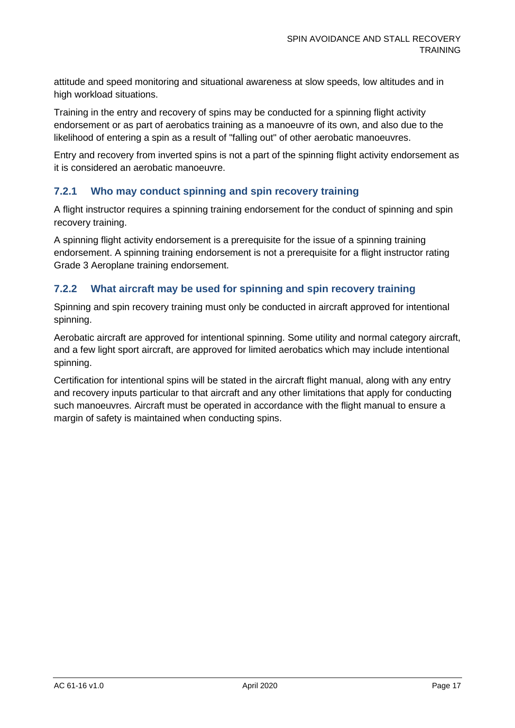attitude and speed monitoring and situational awareness at slow speeds, low altitudes and in high workload situations.

Training in the entry and recovery of spins may be conducted for a spinning flight activity endorsement or as part of aerobatics training as a manoeuvre of its own, and also due to the likelihood of entering a spin as a result of "falling out" of other aerobatic manoeuvres.

Entry and recovery from inverted spins is not a part of the spinning flight activity endorsement as it is considered an aerobatic manoeuvre.

#### **7.2.1 Who may conduct spinning and spin recovery training**

A flight instructor requires a spinning training endorsement for the conduct of spinning and spin recovery training.

A spinning flight activity endorsement is a prerequisite for the issue of a spinning training endorsement. A spinning training endorsement is not a prerequisite for a flight instructor rating Grade 3 Aeroplane training endorsement.

#### **7.2.2 What aircraft may be used for spinning and spin recovery training**

Spinning and spin recovery training must only be conducted in aircraft approved for intentional spinning.

Aerobatic aircraft are approved for intentional spinning. Some utility and normal category aircraft, and a few light sport aircraft, are approved for limited aerobatics which may include intentional spinning.

Certification for intentional spins will be stated in the aircraft flight manual, along with any entry and recovery inputs particular to that aircraft and any other limitations that apply for conducting such manoeuvres. Aircraft must be operated in accordance with the flight manual to ensure a margin of safety is maintained when conducting spins.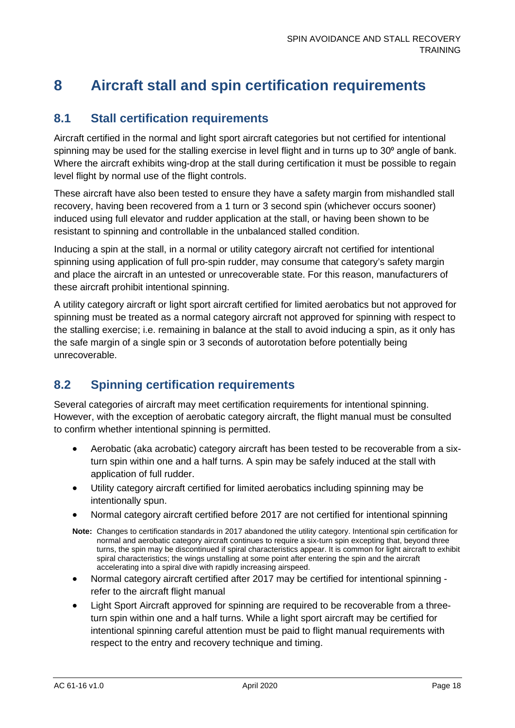# <span id="page-18-0"></span>**8 Aircraft stall and spin certification requirements**

### <span id="page-18-1"></span>**8.1 Stall certification requirements**

Aircraft certified in the normal and light sport aircraft categories but not certified for intentional spinning may be used for the stalling exercise in level flight and in turns up to  $30<sup>o</sup>$  angle of bank. Where the aircraft exhibits wing-drop at the stall during certification it must be possible to regain level flight by normal use of the flight controls.

These aircraft have also been tested to ensure they have a safety margin from mishandled stall recovery, having been recovered from a 1 turn or 3 second spin (whichever occurs sooner) induced using full elevator and rudder application at the stall, or having been shown to be resistant to spinning and controllable in the unbalanced stalled condition.

Inducing a spin at the stall, in a normal or utility category aircraft not certified for intentional spinning using application of full pro-spin rudder, may consume that category's safety margin and place the aircraft in an untested or unrecoverable state. For this reason, manufacturers of these aircraft prohibit intentional spinning.

A utility category aircraft or light sport aircraft certified for limited aerobatics but not approved for spinning must be treated as a normal category aircraft not approved for spinning with respect to the stalling exercise; i.e. remaining in balance at the stall to avoid inducing a spin, as it only has the safe margin of a single spin or 3 seconds of autorotation before potentially being unrecoverable.

### <span id="page-18-2"></span>**8.2 Spinning certification requirements**

Several categories of aircraft may meet certification requirements for intentional spinning. However, with the exception of aerobatic category aircraft, the flight manual must be consulted to confirm whether intentional spinning is permitted.

- Aerobatic (aka acrobatic) category aircraft has been tested to be recoverable from a sixturn spin within one and a half turns. A spin may be safely induced at the stall with application of full rudder.
- Utility category aircraft certified for limited aerobatics including spinning may be intentionally spun.
- Normal category aircraft certified before 2017 are not certified for intentional spinning
- **Note:** Changes to certification standards in 2017 abandoned the utility category. Intentional spin certification for normal and aerobatic category aircraft continues to require a six-turn spin excepting that, beyond three turns, the spin may be discontinued if spiral characteristics appear. It is common for light aircraft to exhibit spiral characteristics; the wings unstalling at some point after entering the spin and the aircraft accelerating into a spiral dive with rapidly increasing airspeed.
- Normal category aircraft certified after 2017 may be certified for intentional spinning refer to the aircraft flight manual
- Light Sport Aircraft approved for spinning are required to be recoverable from a threeturn spin within one and a half turns. While a light sport aircraft may be certified for intentional spinning careful attention must be paid to flight manual requirements with respect to the entry and recovery technique and timing.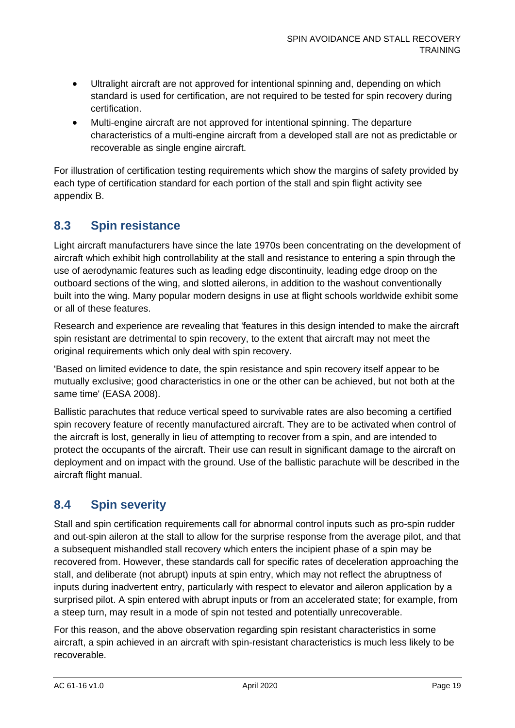- Ultralight aircraft are not approved for intentional spinning and, depending on which standard is used for certification, are not required to be tested for spin recovery during certification.
- Multi-engine aircraft are not approved for intentional spinning. The departure characteristics of a multi-engine aircraft from a developed stall are not as predictable or recoverable as single engine aircraft.

For illustration of certification testing requirements which show the margins of safety provided by each type of certification standard for each portion of the stall and spin flight activity see appendix B.

### <span id="page-19-0"></span>**8.3 Spin resistance**

Light aircraft manufacturers have since the late 1970s been concentrating on the development of aircraft which exhibit high controllability at the stall and resistance to entering a spin through the use of aerodynamic features such as leading edge discontinuity, leading edge droop on the outboard sections of the wing, and slotted ailerons, in addition to the washout conventionally built into the wing. Many popular modern designs in use at flight schools worldwide exhibit some or all of these features.

Research and experience are revealing that 'features in this design intended to make the aircraft spin resistant are detrimental to spin recovery, to the extent that aircraft may not meet the original requirements which only deal with spin recovery.

'Based on limited evidence to date, the spin resistance and spin recovery itself appear to be mutually exclusive; good characteristics in one or the other can be achieved, but not both at the same time' (EASA 2008).

Ballistic parachutes that reduce vertical speed to survivable rates are also becoming a certified spin recovery feature of recently manufactured aircraft. They are to be activated when control of the aircraft is lost, generally in lieu of attempting to recover from a spin, and are intended to protect the occupants of the aircraft. Their use can result in significant damage to the aircraft on deployment and on impact with the ground. Use of the ballistic parachute will be described in the aircraft flight manual.

### <span id="page-19-1"></span>**8.4 Spin severity**

Stall and spin certification requirements call for abnormal control inputs such as pro-spin rudder and out-spin aileron at the stall to allow for the surprise response from the average pilot, and that a subsequent mishandled stall recovery which enters the incipient phase of a spin may be recovered from. However, these standards call for specific rates of deceleration approaching the stall, and deliberate (not abrupt) inputs at spin entry, which may not reflect the abruptness of inputs during inadvertent entry, particularly with respect to elevator and aileron application by a surprised pilot. A spin entered with abrupt inputs or from an accelerated state; for example, from a steep turn, may result in a mode of spin not tested and potentially unrecoverable.

For this reason, and the above observation regarding spin resistant characteristics in some aircraft, a spin achieved in an aircraft with spin-resistant characteristics is much less likely to be recoverable.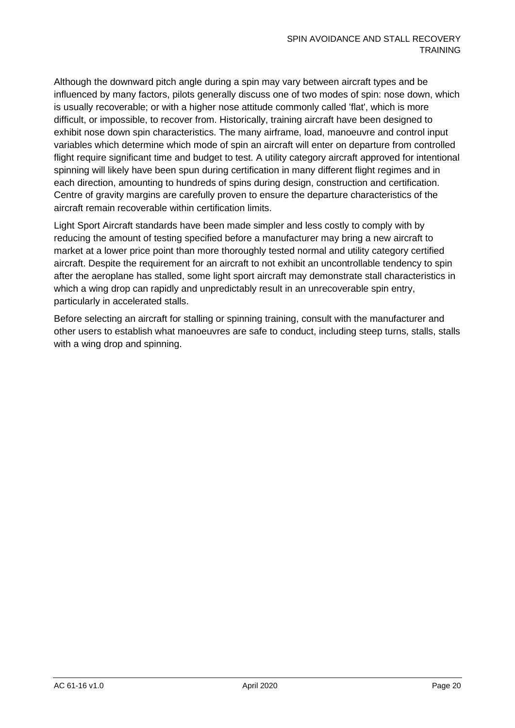Although the downward pitch angle during a spin may vary between aircraft types and be influenced by many factors, pilots generally discuss one of two modes of spin: nose down, which is usually recoverable; or with a higher nose attitude commonly called 'flat', which is more difficult, or impossible, to recover from. Historically, training aircraft have been designed to exhibit nose down spin characteristics. The many airframe, load, manoeuvre and control input variables which determine which mode of spin an aircraft will enter on departure from controlled flight require significant time and budget to test. A utility category aircraft approved for intentional spinning will likely have been spun during certification in many different flight regimes and in each direction, amounting to hundreds of spins during design, construction and certification. Centre of gravity margins are carefully proven to ensure the departure characteristics of the aircraft remain recoverable within certification limits.

Light Sport Aircraft standards have been made simpler and less costly to comply with by reducing the amount of testing specified before a manufacturer may bring a new aircraft to market at a lower price point than more thoroughly tested normal and utility category certified aircraft. Despite the requirement for an aircraft to not exhibit an uncontrollable tendency to spin after the aeroplane has stalled, some light sport aircraft may demonstrate stall characteristics in which a wing drop can rapidly and unpredictably result in an unrecoverable spin entry, particularly in accelerated stalls.

Before selecting an aircraft for stalling or spinning training, consult with the manufacturer and other users to establish what manoeuvres are safe to conduct, including steep turns, stalls, stalls with a wing drop and spinning.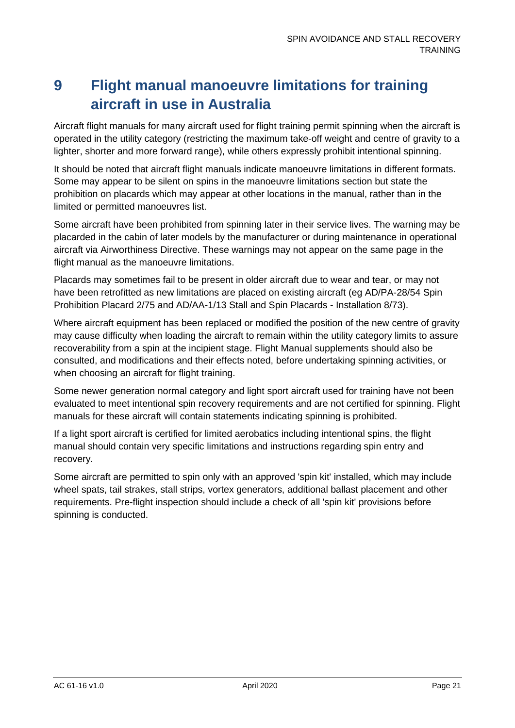# <span id="page-21-0"></span>**9 Flight manual manoeuvre limitations for training aircraft in use in Australia**

Aircraft flight manuals for many aircraft used for flight training permit spinning when the aircraft is operated in the utility category (restricting the maximum take-off weight and centre of gravity to a lighter, shorter and more forward range), while others expressly prohibit intentional spinning.

It should be noted that aircraft flight manuals indicate manoeuvre limitations in different formats. Some may appear to be silent on spins in the manoeuvre limitations section but state the prohibition on placards which may appear at other locations in the manual, rather than in the limited or permitted manoeuvres list.

Some aircraft have been prohibited from spinning later in their service lives. The warning may be placarded in the cabin of later models by the manufacturer or during maintenance in operational aircraft via Airworthiness Directive. These warnings may not appear on the same page in the flight manual as the manoeuvre limitations.

Placards may sometimes fail to be present in older aircraft due to wear and tear, or may not have been retrofitted as new limitations are placed on existing aircraft (eg AD/PA-28/54 Spin Prohibition Placard 2/75 and AD/AA-1/13 Stall and Spin Placards - Installation 8/73).

Where aircraft equipment has been replaced or modified the position of the new centre of gravity may cause difficulty when loading the aircraft to remain within the utility category limits to assure recoverability from a spin at the incipient stage. Flight Manual supplements should also be consulted, and modifications and their effects noted, before undertaking spinning activities, or when choosing an aircraft for flight training.

Some newer generation normal category and light sport aircraft used for training have not been evaluated to meet intentional spin recovery requirements and are not certified for spinning. Flight manuals for these aircraft will contain statements indicating spinning is prohibited.

If a light sport aircraft is certified for limited aerobatics including intentional spins, the flight manual should contain very specific limitations and instructions regarding spin entry and recovery.

Some aircraft are permitted to spin only with an approved 'spin kit' installed, which may include wheel spats, tail strakes, stall strips, vortex generators, additional ballast placement and other requirements. Pre-flight inspection should include a check of all 'spin kit' provisions before spinning is conducted.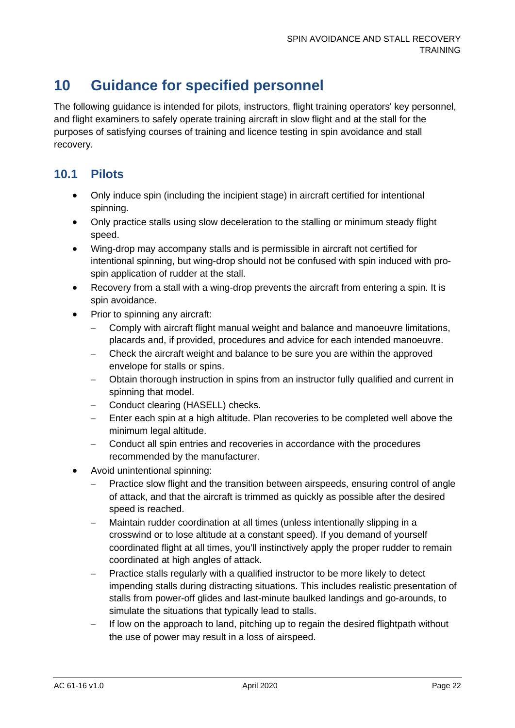# <span id="page-22-0"></span>**10 Guidance for specified personnel**

The following guidance is intended for pilots, instructors, flight training operators' key personnel, and flight examiners to safely operate training aircraft in slow flight and at the stall for the purposes of satisfying courses of training and licence testing in spin avoidance and stall recovery.

### <span id="page-22-1"></span>**10.1 Pilots**

- Only induce spin (including the incipient stage) in aircraft certified for intentional spinning.
- Only practice stalls using slow deceleration to the stalling or minimum steady flight speed.
- Wing-drop may accompany stalls and is permissible in aircraft not certified for intentional spinning, but wing-drop should not be confused with spin induced with prospin application of rudder at the stall.
- Recovery from a stall with a wing-drop prevents the aircraft from entering a spin. It is spin avoidance.
- Prior to spinning any aircraft:
	- − Comply with aircraft flight manual weight and balance and manoeuvre limitations, placards and, if provided, procedures and advice for each intended manoeuvre.
	- − Check the aircraft weight and balance to be sure you are within the approved envelope for stalls or spins.
	- − Obtain thorough instruction in spins from an instructor fully qualified and current in spinning that model.
	- − Conduct clearing (HASELL) checks.
	- Enter each spin at a high altitude. Plan recoveries to be completed well above the minimum legal altitude.
	- − Conduct all spin entries and recoveries in accordance with the procedures recommended by the manufacturer.
- Avoid unintentional spinning:
	- − Practice slow flight and the transition between airspeeds, ensuring control of angle of attack, and that the aircraft is trimmed as quickly as possible after the desired speed is reached.
	- Maintain rudder coordination at all times (unless intentionally slipping in a crosswind or to lose altitude at a constant speed). If you demand of yourself coordinated flight at all times, you'll instinctively apply the proper rudder to remain coordinated at high angles of attack.
	- Practice stalls regularly with a qualified instructor to be more likely to detect impending stalls during distracting situations. This includes realistic presentation of stalls from power-off glides and last-minute baulked landings and go-arounds, to simulate the situations that typically lead to stalls.
	- If low on the approach to land, pitching up to regain the desired flightpath without the use of power may result in a loss of airspeed.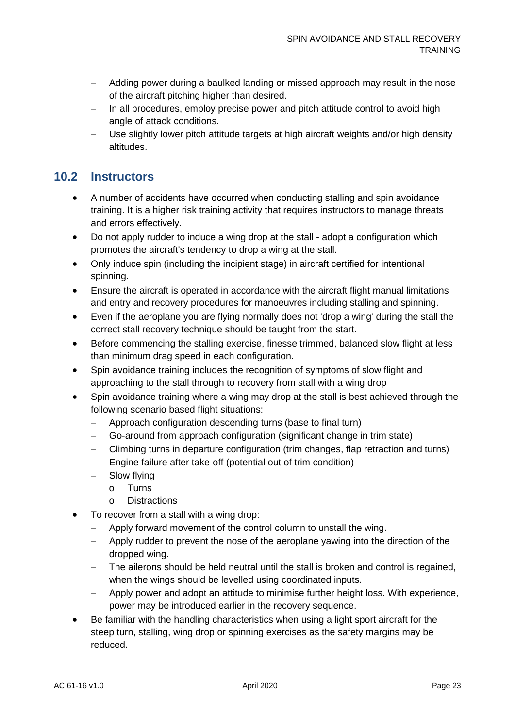- − Adding power during a baulked landing or missed approach may result in the nose of the aircraft pitching higher than desired.
- − In all procedures, employ precise power and pitch attitude control to avoid high angle of attack conditions.
- Use slightly lower pitch attitude targets at high aircraft weights and/or high density altitudes.

### <span id="page-23-0"></span>**10.2 Instructors**

- A number of accidents have occurred when conducting stalling and spin avoidance training. It is a higher risk training activity that requires instructors to manage threats and errors effectively.
- Do not apply rudder to induce a wing drop at the stall adopt a configuration which promotes the aircraft's tendency to drop a wing at the stall.
- Only induce spin (including the incipient stage) in aircraft certified for intentional spinning.
- Ensure the aircraft is operated in accordance with the aircraft flight manual limitations and entry and recovery procedures for manoeuvres including stalling and spinning.
- Even if the aeroplane you are flying normally does not 'drop a wing' during the stall the correct stall recovery technique should be taught from the start.
- Before commencing the stalling exercise, finesse trimmed, balanced slow flight at less than minimum drag speed in each configuration.
- Spin avoidance training includes the recognition of symptoms of slow flight and approaching to the stall through to recovery from stall with a wing drop
- Spin avoidance training where a wing may drop at the stall is best achieved through the following scenario based flight situations:
	- − Approach configuration descending turns (base to final turn)
	- − Go-around from approach configuration (significant change in trim state)
	- − Climbing turns in departure configuration (trim changes, flap retraction and turns)
	- − Engine failure after take-off (potential out of trim condition)
	- − Slow flying
		- o Turns
		- o Distractions
- To recover from a stall with a wing drop:
	- − Apply forward movement of the control column to unstall the wing.
	- Apply rudder to prevent the nose of the aeroplane yawing into the direction of the dropped wing.
	- − The ailerons should be held neutral until the stall is broken and control is regained, when the wings should be levelled using coordinated inputs.
	- − Apply power and adopt an attitude to minimise further height loss. With experience, power may be introduced earlier in the recovery sequence.
- Be familiar with the handling characteristics when using a light sport aircraft for the steep turn, stalling, wing drop or spinning exercises as the safety margins may be reduced.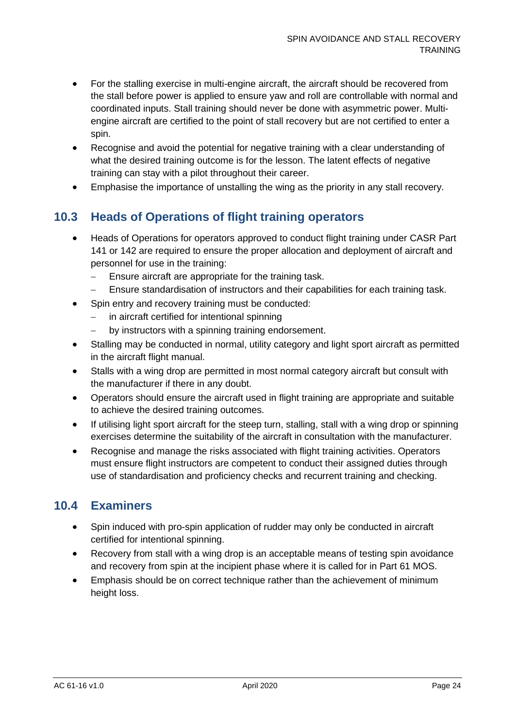- For the stalling exercise in multi-engine aircraft, the aircraft should be recovered from the stall before power is applied to ensure yaw and roll are controllable with normal and coordinated inputs. Stall training should never be done with asymmetric power. Multiengine aircraft are certified to the point of stall recovery but are not certified to enter a spin.
- Recognise and avoid the potential for negative training with a clear understanding of what the desired training outcome is for the lesson. The latent effects of negative training can stay with a pilot throughout their career.
- Emphasise the importance of unstalling the wing as the priority in any stall recovery.

## <span id="page-24-0"></span>**10.3 Heads of Operations of flight training operators**

- Heads of Operations for operators approved to conduct flight training under CASR Part 141 or 142 are required to ensure the proper allocation and deployment of aircraft and personnel for use in the training:
	- − Ensure aircraft are appropriate for the training task.
	- − Ensure standardisation of instructors and their capabilities for each training task.
- Spin entry and recovery training must be conducted:
	- − in aircraft certified for intentional spinning
	- by instructors with a spinning training endorsement.
- Stalling may be conducted in normal, utility category and light sport aircraft as permitted in the aircraft flight manual.
- Stalls with a wing drop are permitted in most normal category aircraft but consult with the manufacturer if there in any doubt.
- Operators should ensure the aircraft used in flight training are appropriate and suitable to achieve the desired training outcomes.
- If utilising light sport aircraft for the steep turn, stalling, stall with a wing drop or spinning exercises determine the suitability of the aircraft in consultation with the manufacturer.
- Recognise and manage the risks associated with flight training activities. Operators must ensure flight instructors are competent to conduct their assigned duties through use of standardisation and proficiency checks and recurrent training and checking.

### <span id="page-24-1"></span>**10.4 Examiners**

- Spin induced with pro-spin application of rudder may only be conducted in aircraft certified for intentional spinning.
- Recovery from stall with a wing drop is an acceptable means of testing spin avoidance and recovery from spin at the incipient phase where it is called for in Part 61 MOS.
- Emphasis should be on correct technique rather than the achievement of minimum height loss.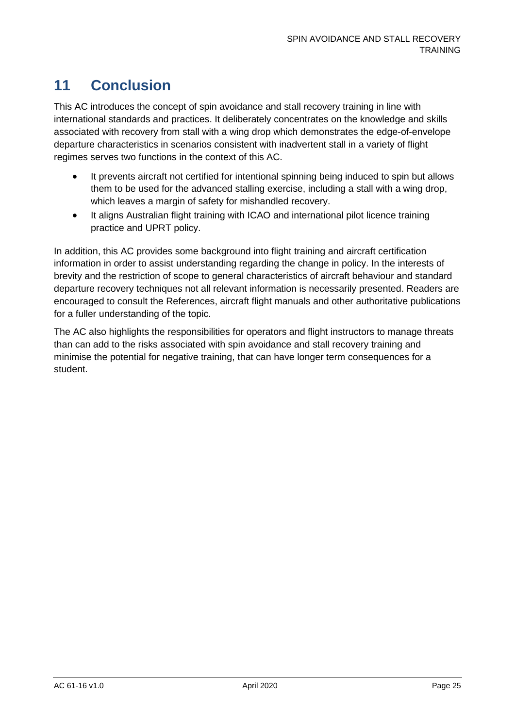## <span id="page-25-0"></span>**11 Conclusion**

This AC introduces the concept of spin avoidance and stall recovery training in line with international standards and practices. It deliberately concentrates on the knowledge and skills associated with recovery from stall with a wing drop which demonstrates the edge-of-envelope departure characteristics in scenarios consistent with inadvertent stall in a variety of flight regimes serves two functions in the context of this AC.

- It prevents aircraft not certified for intentional spinning being induced to spin but allows them to be used for the advanced stalling exercise, including a stall with a wing drop, which leaves a margin of safety for mishandled recovery.
- It aligns Australian flight training with ICAO and international pilot licence training practice and UPRT policy.

In addition, this AC provides some background into flight training and aircraft certification information in order to assist understanding regarding the change in policy. In the interests of brevity and the restriction of scope to general characteristics of aircraft behaviour and standard departure recovery techniques not all relevant information is necessarily presented. Readers are encouraged to consult the References, aircraft flight manuals and other authoritative publications for a fuller understanding of the topic.

The AC also highlights the responsibilities for operators and flight instructors to manage threats than can add to the risks associated with spin avoidance and stall recovery training and minimise the potential for negative training, that can have longer term consequences for a student.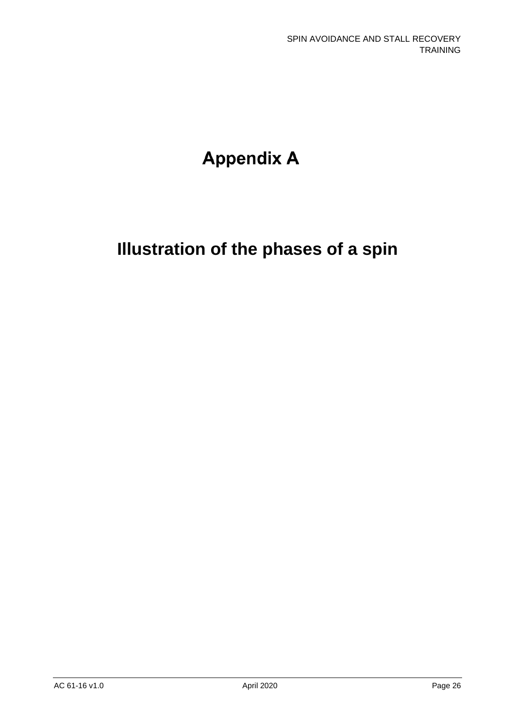# **Appendix A**

# **Illustration of the phases of a spin**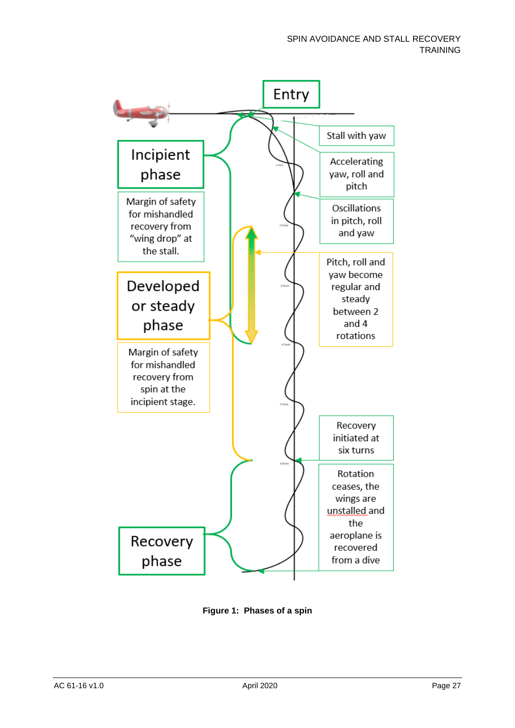

**Figure 1: Phases of a spin**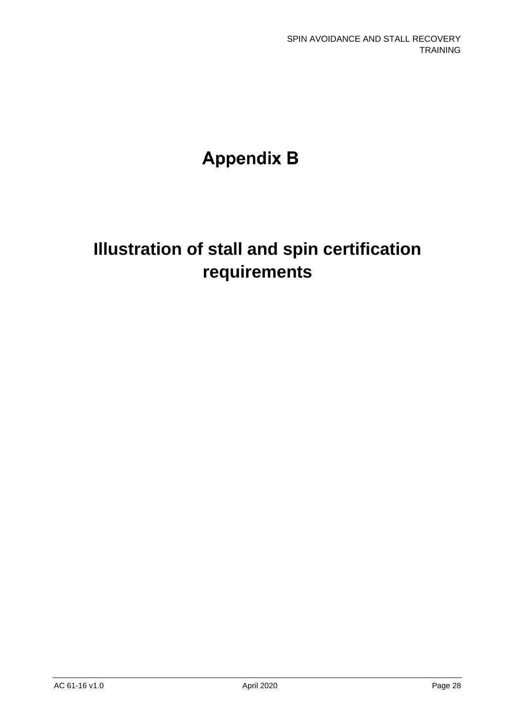# **Appendix B**

# **Illustration of stall and spin certification requirements**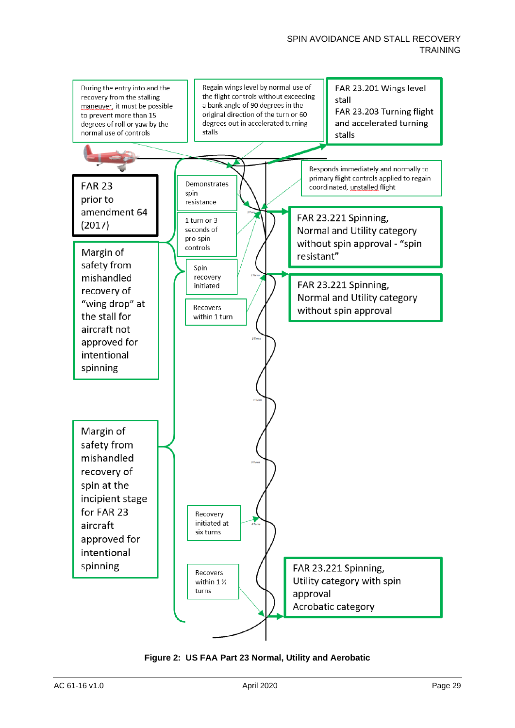

**Figure 2: US FAA Part 23 Normal, Utility and Aerobatic**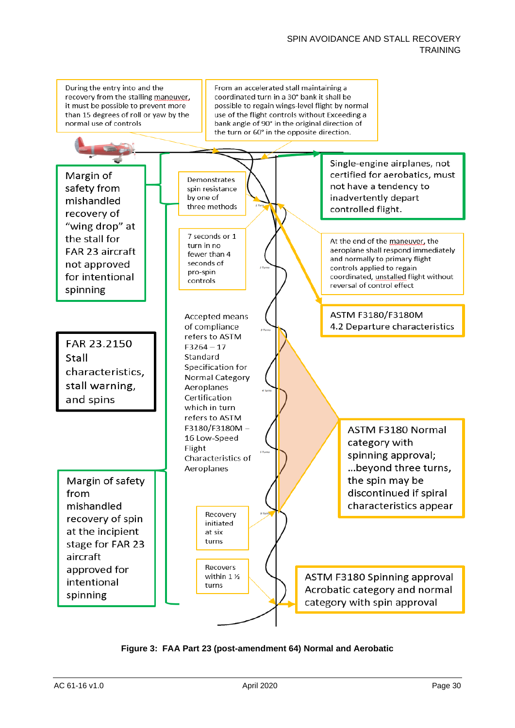#### SPIN AVOIDANCE AND STALL RECOVERY **TRAINING**